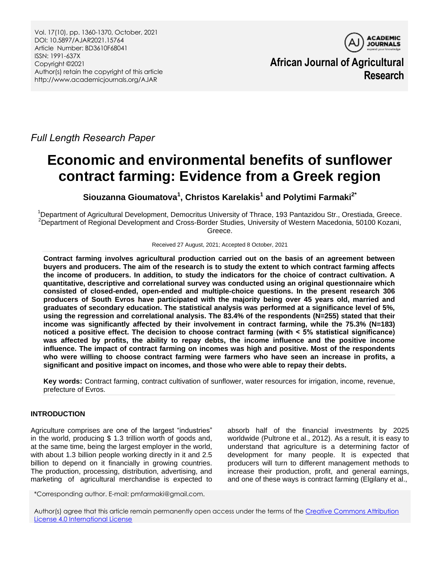

**African Journal of Agricultural Research**

*Full Length Research Paper*

# **Economic and environmental benefits of sunflower contract farming: Evidence from a Greek region**

**Siouzanna Gioumatova<sup>1</sup> , Christos Karelakis<sup>1</sup> and Polytimi Farmaki2\***

<sup>1</sup>Department of Agricultural Development, Democritus University of Thrace, 193 Pantazidou Str., Orestiada, Greece. <sup>2</sup>Department of Regional Development and Cross-Border Studies, University of Western Macedonia, 50100 Kozani, Greece.

Received 27 August, 2021; Accepted 8 October, 2021

**Contract farming involves agricultural production carried out on the basis of an agreement between buyers and producers. The aim of the research is to study the extent to which contract farming affects the income of producers. In addition, to study the indicators for the choice of contract cultivation. A quantitative, descriptive and correlational survey was conducted using an original questionnaire which consisted of closed-ended, open-ended and multiple-choice questions. In the present research 306 producers of South Evros have participated with the majority being over 45 years old, married and graduates of secondary education. The statistical analysis was performed at a significance level of 5%, using the regression and correlational analysis. The 83.4% of the respondents (N=255) stated that their income was significantly affected by their involvement in contract farming, while the 75.3% (N=183) noticed a positive effect. The decision to choose contract farming (with ˂ 5% statistical significance) was affected by profits, the ability to repay debts, the income influence and the positive income influence. The impact of contract farming on incomes was high and positive. Most of the respondents who were willing to choose contract farming were farmers who have seen an increase in profits, a significant and positive impact on incomes, and those who were able to repay their debts.**

**Key words:** Contract farming, contract cultivation of sunflower, water resources for irrigation, income, revenue, prefecture of Evros.

# **INTRODUCTION**

Agriculture comprises are one of the largest "industries" in the world, producing \$ 1.3 trillion worth of goods and, at the same time, being the largest employer in the world, with about 1.3 billion people working directly in it and 2.5 billion to depend on it financially in growing countries. The production, processing, distribution, advertising, and marketing of agricultural merchandise is expected to

absorb half of the financial investments by 2025 worldwide (Pultrone et al., 2012). As a result, it is easy to understand that agriculture is a determining factor of development for many people. It is expected that producers will turn to different management methods to increase their production, profit, and general earnings, and one of these ways is contract farming (Elgilany et al.,

\*Corresponding author. E-mail: pmfarmaki@gmail.com.

Author(s) agree that this article remain permanently open access under the terms of the Creative Commons Attribution [License 4.0 International License](http://creativecommons.org/licenses/by/4.0/deed.en_US)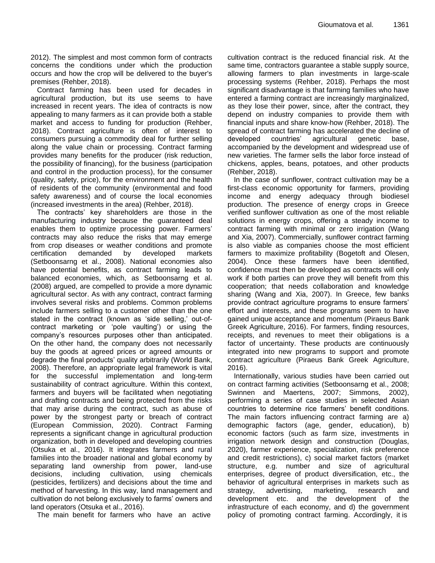2012). The simplest and most common form of contracts concerns the conditions under which the production occurs and how the crop will be delivered to the buyer's premises (Rehber, 2018).

Contract farming has been used for decades in agricultural production, but its use seems to have increased in recent years. The idea of contracts is now appealing to many farmers as it can provide both a stable market and access to funding for production (Rehber, 2018). Contract agriculture is often of interest to consumers pursuing a commodity deal for further selling along the value chain or processing. Contract farming provides many benefits for the producer (risk reduction, the possibility of financing), for the business (participation and control in the production process), for the consumer (quality, safety, price), for the environment and the health of residents of the community (environmental and food safety awareness) and of course the local economies (increased investments in the area) (Rehber, 2018).

The contracts" key shareholders are those in the manufacturing industry because the guaranteed deal enables them to optimize processing power. Farmers' contracts may also reduce the risks that may emerge from crop diseases or weather conditions and promote certification demanded by developed markets (Setboonsarng et al., 2008). National economies also have potential benefits, as contract farming leads to balanced economies, which, as Setboonsarng et al. (2008) argued, are compelled to provide a more dynamic agricultural sector. As with any contract, contract farming involves several risks and problems. Common problems include farmers selling to a customer other than the one stated in the contract (known as 'side selling,' out-ofcontract marketing or "pole vaulting") or using the company"s resources purposes other than anticipated. On the other hand, the company does not necessarily buy the goods at agreed prices or agreed amounts or degrade the final products' quality arbitrarily (World Bank, 2008). Therefore, an appropriate legal framework is vital for the successful implementation and long-term sustainability of contract agriculture. Within this context, farmers and buyers will be facilitated when negotiating and drafting contracts and being protected from the risks that may arise during the contract, such as abuse of power by the strongest party or breach of contract (European Commission, 2020). Contract Farming represents a significant change in agricultural production organization, both in developed and developing countries (Otsuka et al., 2016). It integrates farmers and rural families into the broader national and global economy by separating land ownership from power, land-use decisions, including cultivation, using chemicals (pesticides, fertilizers) and decisions about the time and method of harvesting. In this way, land management and cultivation do not belong exclusively to farms" owners and land operators (Otsuka et al., 2016).

The main benefit for farmers who have an active

cultivation contract is the reduced financial risk. At the same time, contractors guarantee a stable supply source, allowing farmers to plan investments in large-scale processing systems (Rehber, 2018). Perhaps the most significant disadvantage is that farming families who have entered a farming contract are increasingly marginalized, as they lose their power, since, after the contract, they depend on industry companies to provide them with financial inputs and share know-how (Rehber, 2018). The spread of contract farming has accelerated the decline of developed countries" agricultural genetic base, accompanied by the development and widespread use of new varieties. The farmer sells the labor force instead of chickens, apples, beans, potatoes, and other products (Rehber, 2018).

In the case of sunflower, contract cultivation may be a first-class economic opportunity for farmers, providing income and energy adequacy through biodiesel production. The presence of energy crops in Greece verified sunflower cultivation as one of the most reliable solutions in energy crops, offering a steady income to contract farming with minimal or zero irrigation (Wang and Xia, 2007). Commercially, sunflower contract farming is also viable as companies choose the most efficient farmers to maximize profitability (Bogetoft and Olesen, 2004). Once these farmers have been identified, confidence must then be developed as contracts will only work if both parties can prove they will benefit from this cooperation; that needs collaboration and knowledge sharing (Wang and Xia, 2007). In Greece, few banks provide contract agriculture programs to ensure farmers" effort and interests, and these programs seem to have gained unique acceptance and momentum (Piraeus Bank Greek Agriculture, 2016). For farmers, finding resources, receipts, and revenues to meet their obligations is a factor of uncertainty. These products are continuously integrated into new programs to support and promote contract agriculture (Piraeus Bank Greek Agriculture, 2016).

Internationally, various studies have been carried out on contract farming activities (Setboonsarng et al., 2008; Swinnen and Maertens, 2007; Simmons, 2002), performing a series of case studies in selected Asian countries to determine rice farmers" benefit conditions. The main factors influencing contract farming are a) demographic factors (age, gender, education), b) economic factors (such as farm size, investments in irrigation network design and construction (Douglas, 2020), farmer experience, specialization, risk preference and credit restrictions), c) social market factors (market structure, e.g. number and size of agricultural enterprises, degree of product diversification, etc., the behavior of agricultural enterprises in markets such as strategy, advertising, marketing, research and development etc. and the development of the infrastructure of each economy, and d) the government policy of promoting contract farming. Accordingly, it is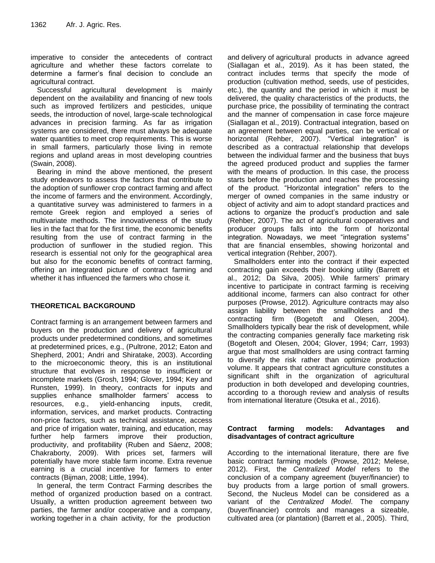imperative to consider the antecedents of contract agriculture and whether these factors correlate to determine a farmer"s final decision to conclude an agricultural contract.

Successful agricultural development is mainly dependent on the availability and financing of new tools such as improved fertilizers and pesticides, unique seeds, the introduction of novel, large-scale technological advances in precision farming. As far as irrigation systems are considered, there must always be adequate water quantities to meet crop requirements. This is worse in small farmers, particularly those living in remote regions and upland areas in most developing countries (Swain, 2008).

Bearing in mind the above mentioned, the present study endeavors to assess the factors that contribute to the adoption of sunflower crop contract farming and affect the income of farmers and the environment. Accordingly, a quantitative survey was administered to farmers in a remote Greek region and employed a series of multivariate methods. The innovativeness of the study lies in the fact that for the first time, the economic benefits resulting from the use of contract farming in the production of sunflower in the studied region. This research is essential not only for the geographical area but also for the economic benefits of contract farming, offering an integrated picture of contract farming and whether it has influenced the farmers who chose it.

## **THEORETICAL BACKGROUND**

Contract farming is an arrangement between farmers and buyers on the production and delivery of agricultural products under predetermined conditions, and sometimes at predetermined prices, e.g., (Pultrone, 2012; Eaton and Shepherd, 2001; Andri and Shiratake, 2003). According to the microeconomic theory, this is an institutional structure that evolves in response to insufficient or incomplete markets (Grosh, 1994; Glover, 1994; Key and Runsten, 1999). In theory, contracts for inputs and supplies enhance smallholder farmers' access to resources, e.g., yield-enhancing inputs, credit, information, services, and market products. Contracting non-price factors, such as technical assistance, access and price of irrigation water, training, and education, may further help farmers improve their production, productivity, and profitability (Ruben and Sáenz, 2008; Chakraborty, 2009). With prices set, farmers will potentially have more stable farm income. Extra revenue earning is a crucial incentive for farmers to enter contracts (Bijman, 2008; Little, 1994).

In general, the term Contract Farming describes the method of organized production based on a contract. Usually, a written production agreement between two parties, the farmer and/or cooperative and a company, working together in a chain activity, for the production

and delivery of agricultural products in advance agreed (Siallagan et al., 2019). As it has been stated, the contract includes terms that specify the mode of production (cultivation method, seeds, use of pesticides, etc.), the quantity and the period in which it must be delivered, the quality characteristics of the products, the purchase price, the possibility of terminating the contract and the manner of compensation in case force majeure (Siallagan et al., 2019). Contractual integration, based on an agreement between equal parties, can be vertical or horizontal (Rehber, 2007). "Vertical integration" is described as a contractual relationship that develops between the individual farmer and the business that buys the agreed produced product and supplies the farmer with the means of production. In this case, the process starts before the production and reaches the processing of the product. "Horizontal integration" refers to the merger of owned companies in the same industry or object of activity and aim to adopt standard practices and actions to organize the product's production and sale (Rehber, 2007). The act of agricultural cooperatives and producer groups falls into the form of horizontal integration. Nowadays, we meet "integration systems" that are financial ensembles, showing horizontal and vertical integration (Rehber, 2007).

Smallholders enter into the contract if their expected contracting gain exceeds their booking utility (Barrett et al., 2012; Da Silva, 2005). While farmers' primary incentive to participate in contract farming is receiving additional income, farmers can also contract for other purposes (Prowse, 2012). Agriculture contracts may also assign liability between the smallholders and the contracting firm (Bogetoft and Olesen, 2004). Smallholders typically bear the risk of development, while the contracting companies generally face marketing risk (Bogetoft and Olesen, 2004; Glover, 1994; Carr, 1993) argue that most smallholders are using contract farming to diversify the risk rather than optimize production volume. It appears that contract agriculture constitutes a significant shift in the organization of agricultural production in both developed and developing countries, according to a thorough review and analysis of results from international literature (Otsuka et al., 2016).

# **Contract farming models: Advantages and disadvantages of contract agriculture**

According to the international literature, there are five basic contract farming models (Prowse, 2012; Melese, 2012). First, the *Centralized Model* refers to the conclusion of a company agreement (buyer/financier) to buy products from a large portion of small growers. Second, the Nucleus Model can be considered as a variant of the *Centralized Model*. The company (buyer/financier) controls and manages a sizeable, cultivated area (or plantation) (Barrett et al., 2005). Third,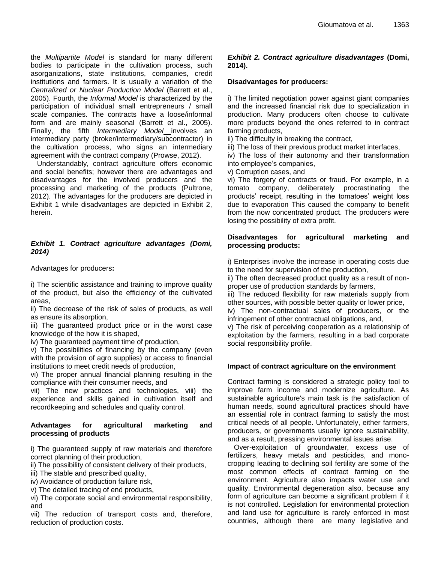the *Multipartite Model* is standard for many different bodies to participate in the cultivation process, such asorganizations, state institutions, companies, credit institutions and farmers. It is usually a variation of the *Centralized or Nuclear Production Model* (Barrett et al., 2005). Fourth, the *Informal Model* is characterized by the participation of individual small entrepreneurs / small scale companies. The contracts have a loose/informal form and are mainly seasonal (Barrett et al., 2005). Finally, the fifth *Intermediary Model* involves an intermediary party (broker/intermediary/subcontractor) in the cultivation process, who signs an intermediary agreement with the contract company (Prowse, 2012).

Understandably, contract agriculture offers economic and social benefits; however there are advantages and disadvantages for the involved producers and the processing and marketing of the products (Pultrone, 2012). The advantages for the producers are depicted in Exhibit 1 while disadvantages are depicted in Exhibit 2, herein.

## *Exhibit 1. Contract agriculture advantages (Domi, 2014)*

Advantages for producers**:**

i) The scientific assistance and training to improve quality of the product, but also the efficiency of the cultivated areas,

ii) The decrease of the risk of sales of products, as well as ensure its absorption,

iii) The guaranteed product price or in the worst case knowledge of the how it is shaped,

iv) The guaranteed payment time of production,

v) The possibilities of financing by the company (even with the provision of agro supplies) or access to financial institutions to meet credit needs of production,

vi) The proper annual financial planning resulting in the compliance with their consumer needs, and

vii) The new practices and technologies, viii) the experience and skills gained in cultivation itself and recordkeeping and schedules and quality control.

## **Advantages for agricultural marketing and processing of products**

i) The guaranteed supply of raw materials and therefore correct planning of their production,

ii) The possibility of consistent delivery of their products,

iii) The stable and prescribed quality,

iv) Avoidance of production failure risk,

v) The detailed tracing of end products,

vi) The corporate social and environmental responsibility, and

vii) The reduction of transport costs and, therefore, reduction of production costs.

# *Exhibit 2. Contract agriculture disadvantages* **(Domi, 2014).**

# **Disadvantages for producers:**

i) The limited negotiation power against giant companies and the increased financial risk due to specialization in production. Many producers often choose to cultivate more products beyond the ones referred to in contract farming products,

- ii) The difficulty in breaking the contract,
- iii) The loss of their previous product market interfaces,

iv) The loss of their autonomy and their transformation into employee"s companies,

v) Corruption cases, and

vi) The forgery of contracts or fraud. For example, in a tomato company, deliberately procrastinating the products' receipt, resulting in the tomatoes' weight loss due to evaporation This caused the company to benefit from the now concentrated product. The producers were losing the possibility of extra profit.

## **Disadvantages for agricultural marketing and processing products:**

i) Enterprises involve the increase in operating costs due to the need for supervision of the production,

ii) The often decreased product quality as a result of nonproper use of production standards by farmers,

iii) The reduced flexibility for raw materials supply from other sources, with possible better quality or lower price,

iv) The non-contractual sales of producers, or the infringement of other contractual obligations, and,

v) The risk of perceiving cooperation as a relationship of exploitation by the farmers, resulting in a bad corporate social responsibility profile.

## **Impact of contract agriculture on the environment**

Contract farming is considered a strategic policy tool to improve farm income and modernize agriculture. As sustainable agriculture's main task is the satisfaction of human needs, sound agricultural practices should have an essential role in contract farming to satisfy the most critical needs of all people. Unfortunately, either farmers, producers, or governments usually ignore sustainability, and as a result, pressing environmental issues arise.

Over-exploitation of groundwater, excess use of fertilizers, heavy metals and pesticides, and monocropping leading to declining soil fertility are some of the most common effects of contract farming on the environment. Agriculture also impacts water use and quality. Environmental degeneration also, because any form of agriculture can become a significant problem if it is not controlled. Legislation for environmental protection and land use for agriculture is rarely enforced in most countries, although there are many legislative and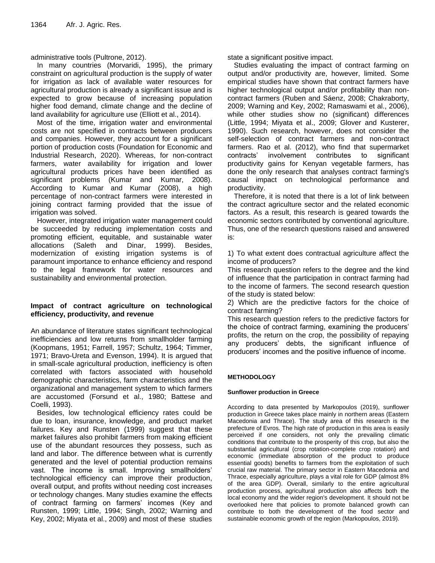administrative tools (Pultrone, 2012).

In many countries (Morvaridi, 1995), the primary constraint on agricultural production is the supply of water for irrigation as lack of available water resources for agricultural production is already a significant issue and is expected to grow because of increasing population higher food demand, climate change and the decline of land availability for agriculture use (Elliott et al., 2014).

Most of the time, irrigation water and environmental costs are not specified in contracts between producers and companies. However, they account for a significant portion of production costs (Foundation for Economic and Industrial Research, 2020). Whereas, for non-contract farmers, water availability for irrigation and lower agricultural products prices have been identified as significant problems (Kumar and Kumar, 2008). According to Kumar and Kumar (2008), a high percentage of non-contract farmers were interested in joining contract farming provided that the issue of irrigation was solved.

However, integrated irrigation water management could be succeeded by reducing implementation costs and promoting efficient, equitable, and sustainable water allocations (Saleth and Dinar, 1999). Besides, modernization of existing irrigation systems is of paramount importance to enhance efficiency and respond to the legal framework for water resources and sustainability and environmental protection.

# **Impact of contract agriculture on technological efficiency, productivity, and revenue**

An abundance of literature states significant technological inefficiencies and low returns from smallholder farming (Koopmans, 1951; Farrell, 1957; Schultz, 1964; Timmer, 1971; Bravo-Ureta and Evenson, 1994). It is argued that in small-scale agricultural production, inefficiency is often correlated with factors associated with household demographic characteristics, farm characteristics and the organizational and management system to which farmers are accustomed (Forsund et al., 1980; Battese and Coelli, 1993).

Besides, low technological efficiency rates could be due to loan, insurance, knowledge, and product market failures. Key and Runsten (1999) suggest that these market failures also prohibit farmers from making efficient use of the abundant resources they possess, such as land and labor. The difference between what is currently generated and the level of potential production remains vast. The income is small. Improving smallholders' technological efficiency can improve their production, overall output, and profits without needing cost increases or technology changes. Many studies examine the effects of contract farming on farmers' incomes (Key and Runsten, 1999; Little, 1994; Singh, 2002; Warning and Key, 2002; Miyata et al., 2009) and most of these studies state a significant positive impact.

Studies evaluating the impact of contract farming on output and/or productivity are, however, limited. Some empirical studies have shown that contract farmers have higher technological output and/or profitability than noncontract farmers (Ruben and Sáenz, 2008; Chakraborty, 2009; Warning and Key, 2002; Ramaswami et al., 2006), while other studies show no (significant) differences (Little, 1994; Miyata et al., 2009; Glover and Kusterer, 1990). Such research, however, does not consider the self-selection of contract farmers and non-contract farmers. Rao et al. (2012), who find that supermarket contracts" involvement contributes to significant productivity gains for Kenyan vegetable farmers, has done the only research that analyses contract farming's causal impact on technological performance and productivity.

Therefore, it is noted that there is a lot of link between the contract agriculture sector and the related economic factors. As a result, this research is geared towards the economic sectors contributed by conventional agriculture. Thus, one of the research questions raised and answered is:

1) To what extent does contractual agriculture affect the income of producers?

This research question refers to the degree and the kind of influence that the participation in contract farming had to the income of farmers. The second research question of the study is stated below:

2) Which are the predictive factors for the choice of contract farming?

This research question refers to the predictive factors for the choice of contract farming, examining the producers' profits, the return on the crop, the possibility of repaying any producers" debts, the significant influence of producers" incomes and the positive influence of income.

## **METHODOLOGY**

## **Sunflower production in Greece**

According to data presented by Markopoulos (2019), sunflower production in Greece takes place mainly in northern areas (Eastern Macedonia and Thrace). The study area of this research is the prefecture of Evros. The high rate of production in this area is easily perceived if one considers, not only the prevailing climatic conditions that contribute to the prosperity of this crop, but also the substantial agricultural (crop rotation-complete crop rotation) and economic (immediate absorption of the product to produce essential goods) benefits to farmers from the exploitation of such crucial raw material. The primary sector in Eastern Macedonia and Thrace, especially agriculture, plays a vital role for GDP (almost 8% of the area GDP). Overall, similarly to the entire agricultural production process, agricultural production also affects both the local economy and the wider region's development. It should not be overlooked here that policies to promote balanced growth can contribute to both the development of the food sector and sustainable economic growth of the region (Markopoulos, 2019).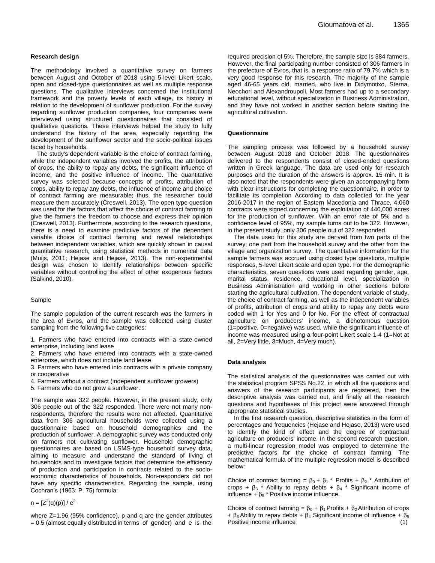#### **Research design**

The methodology involved a quantitative survey on farmers between August and October of 2018 using 5-level Likert scale, open and closed-type questionnaires as well as multiple response questions. The qualitative interviews concerned the institutional framework and the poverty levels of each village, its history in relation to the development of sunflower production. For the survey regarding sunflower production companies, four companies were interviewed using structured questionnaires that consisted of qualitative questions. These interviews helped the study to fully understand the history of the area, especially regarding the development of the sunflower sector and the socio-political issues faced by households.

The study's dependent variable is the choice of contract farming, while the independent variables involved the profits, the attribution of crops, the ability to repay any debts, the significant influence of income, and the positive influence of income. The quantitative survey was selected because concepts of profits, attribution of crops, ability to repay any debts, the influence of income and choice of contract farming are measurable; thus, the researcher could measure them accurately (Creswell, 2013). The open type question was used for the factors that affect the choice of contract farming to give the farmers the freedom to choose and express their opinion (Creswell, 2013). Furthermore, according to the research questions, there is a need to examine predictive factors of the dependent variable choice of contract farming and reveal relationships between independent variables, which are quickly shown in causal quantitative research, using statistical methods in numerical data (Muijs, 2011; Hejase and Hejase, 2013). The non-experimental design was chosen to identify relationships between specific variables without controlling the effect of other exogenous factors (Salkind, 2010).

#### Sample

The sample population of the current research was the farmers in the area of Evros, and the sample was collected using cluster sampling from the following five categories:

1. Farmers who have entered into contracts with a state-owned enterprise, including land lease

2. Farmers who have entered into contracts with a state-owned enterprise, which does not include land lease

3. Farmers who have entered into contracts with a private company or cooperative

- 4. Farmers without a contract (independent sunflower growers)
- 5. Farmers who do not grow a sunflower.

The sample was 322 people. However, in the present study, only 306 people out of the 322 responded. There were not many nonrespondents, therefore the results were not affected. Quantitative data from 306 agricultural households were collected using a questionnaire based on household demographics and the production of sunflower. A demographic survey was conducted only on farmers not cultivating sunflower. Household demographic questionnaires are based on LSMS-type household survey data, aiming to measure and understand the standard of living of households and to investigate factors that determine the efficiency of production and participation in contracts related to the socioeconomic characteristics of households. Non-responders did not have any specific characteristics. Regarding the sample, using Cochran"s (1963: P. 75) formula:

 $n = [Z^2(q)(p)] / e^2$ 

where Z=1.96 (95% confidence), p and q are the gender attributes = 0.5 (almost equally distributed in terms of gender) and e is the

required precision of 5%. Therefore, the sample size is 384 farmers. However, the final participating number consisted of 306 farmers in the prefecture of Evros, that is, a response ratio of 79.7% which is a very good response for this research. The majority of the sample aged 46-65 years old, married, who live in Didymotixo, Sterna, Neochori and Alexandroupoli. Most farmers had up to a secondary educational level, without specialization in Business Administration, and they have not worked in another section before starting the agricultural cultivation.

#### **Questionnaire**

The sampling process was followed by a household survey between August 2018 and October 2018. The questionnaires delivered to the respondents consist of closed-ended questions written in Greek language. The data are used only for research purposes and the duration of the answers is approx. 15 min. It is also noted that the respondents were given an accompanying form with clear instructions for completing the questionnaire, in order to facilitate its completion According to data collected for the year 2016-2017 in the region of Eastern Macedonia and Thrace, 4,060 contracts were signed concerning the exploitation of 440,000 acres for the production of sunflower. With an error rate of 5% and a confidence level of 95%, my sample turns out to be 322. However, in the present study, only 306 people out of 322 responded.

The data used for this study are derived from two parts of the survey; one part from the household survey and the other from the village and organization survey. The quantitative information for the sample farmers was accrued using closed type questions, multiple responses, 5-level Likert scale and open type. For the demographic characteristics, seven questions were used regarding gender, age, marital status, residence, educational level, specialization in Business Administration and working in other sections before starting the agricultural cultivation. The dependent variable of study, the choice of contract farming, as well as the independent variables of profits, attribution of crops and ability to repay any debts were coded with 1 for Yes and 0 for No. For the effect of contractual agriculture on producers' income, a dichotomous question (1=positive, 0=negative) was used, while the significant influence of income was measured using a four-point Likert scale 1-4 (1=Not at all, 2=Very little, 3=Much, 4=Very much).

#### **Data analysis**

The statistical analysis of the questionnaires was carried out with the statistical program SPSS No.22, in which all the questions and answers of the research participants are registered, then the descriptive analysis was carried out, and finally all the research questions and hypotheses of this project were answered through appropriate statistical studies.

In the first research question, descriptive statistics in the form of percentages and frequencies (Hejase and Hejase, 2013) were used to identify the kind of effect and the degree of contractual agriculture on producers' income. In the second research question, a multi-linear regression model was employed to determine the predictive factors for the choice of contract farming. The mathematical formula of the multiple regression model is described below:

Choice of contract farming =  $\beta_0 + \beta_1$  \* Profits +  $\beta_2$  \* Attribution of crops +  $β_3$  \* Ability to repay debts +  $β_4$  \* Significant income of influence +  $β_5$  \* Positive income influence.

Choice of contract farming =  $\beta_0 + \beta_1$  Profits +  $\beta_2$  Attribution of crops +  $\beta_3$  Ability to repay debts +  $\beta_4$  Significant income of influence +  $\beta_5$ Positive income influence (1)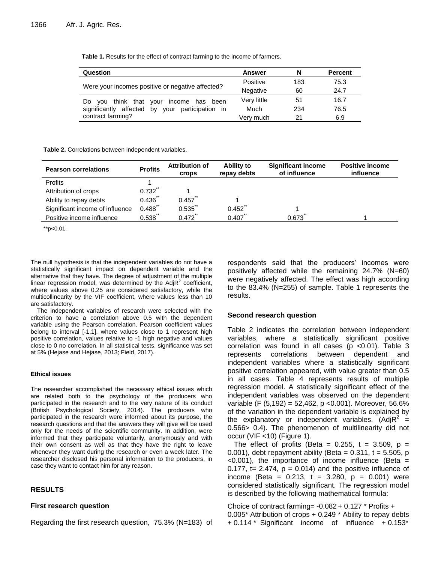**Table 1.** Results for the effect of contract farming to the income of farmers.

| Question                                         | Answer          | N   | <b>Percent</b> |
|--------------------------------------------------|-----------------|-----|----------------|
|                                                  | Positive        | 183 | 75.3           |
| Were your incomes positive or negative affected? | <b>Negative</b> | 60  | 24.7           |
| you think that your<br>income has<br>Do.<br>been | Very little     | 51  | 16.7           |
| significantly affected by your participation in  | Much            | 234 | 76.5           |
| contract farming?                                | Very much       | 21  | 6.9            |

**Table 2.** Correlations between independent variables.

| <b>Pearson correlations</b>     | <b>Profits</b> | <b>Attribution of</b><br><b>Crops</b> | Ability to<br>repay debts | <b>Significant income</b><br>of influence | <b>Positive income</b><br>influence |
|---------------------------------|----------------|---------------------------------------|---------------------------|-------------------------------------------|-------------------------------------|
| Profits                         |                |                                       |                           |                                           |                                     |
| Attribution of crops            | 0.732          |                                       |                           |                                           |                                     |
| Ability to repay debts          | $0.436$ **     | 0.457                                 |                           |                                           |                                     |
| Significant income of influence | $0.488$ **     | $0.535$ **                            | $0.452$ **                |                                           |                                     |
| Positive income influence       | 0.538          | $0.472$ **                            | 0.407                     | 0.673                                     |                                     |

 $*$ p<0.01.

The null hypothesis is that the independent variables do not have a statistically significant impact on dependent variable and the alternative that they have. The degree of adjustment of the multiple linear regression model, was determined by the Adj $R^2$  coefficient, where values above 0.25 are considered satisfactory, while the multicollinearity by the VIF coefficient, where values less than 10 are satisfactory.

The independent variables of research were selected with the criterion to have a correlation above 0.5 with the dependent variable using the Pearson correlation. Pearson coefficient values belong to interval [-1,1], where values close to 1 represent high positive correlation, values relative to -1 high negative and values close to 0 no correlation. In all statistical tests, significance was set at 5% (Hejase and Hejase, 2013; Field, 2017).

### **Ethical issues**

The researcher accomplished the necessary ethical issues which are related both to the psychology of the producers who participated in the research and to the very nature of its conduct (British Psychological Society, 2014). The producers who participated in the research were informed about its purpose, the research questions and that the answers they will give will be used only for the needs of the scientific community. In addition, were informed that they participate voluntarily, anonymously and with their own consent as well as that they have the right to leave whenever they want during the research or even a week later. The researcher disclosed his personal information to the producers, in case they want to contact him for any reason.

## **RESULTS**

## **First research question**

Regarding the first research question, 75.3% (N=183) of

respondents said that the producers' incomes were positively affected while the remaining 24.7% (N=60) were negatively affected. The effect was high according to the 83.4% (N=255) of sample. Table 1 represents the results.

## **Second research question**

Table 2 indicates the correlation between independent variables, where a statistically significant positive correlation was found in all cases ( $p$  <0.01). Table 3 represents correlations between dependent and independent variables where a statistically significant positive correlation appeared, with value greater than 0.5 in all cases. Table 4 represents results of multiple regression model. A statistically significant effect of the independent variables was observed on the dependent variable (F  $(5.192) = 52,462$ , p < 0.001). Moreover, 56.6% of the variation in the dependent variable is explained by the explanatory or independent variables.  $(Ad)R^2 =$ 0.566> 0.4). The phenomenon of multilinearity did not occur (VIF <10) (Figure 1).

The effect of profits (Beta =  $0.255$ , t = 3.509, p = 0.001), debt repayment ability (Beta =  $0.311$ , t =  $5.505$ , p  $<$  0.001), the importance of income influence (Beta = 0.177,  $t = 2.474$ ,  $p = 0.014$ ) and the positive influence of income (Beta =  $0.213$ , t =  $3.280$ , p =  $0.001$ ) were considered statistically significant. The regression model is described by the following mathematical formula:

Choice of contract farming= -0.082 + 0.127 \* Profits + 0.005\* Attribution of crops + 0.249 \* Ability to repay debts  $+ 0.114$  \* Significant income of influence  $+ 0.153$ <sup>\*</sup>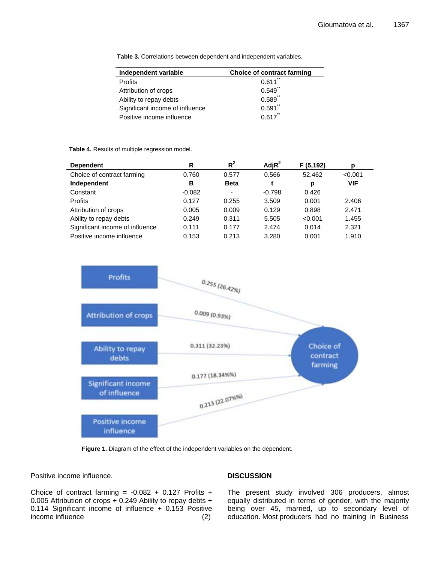**Table 3.** Correlations between dependent and independent variables.

| Independent variable            | <b>Choice of contract farming</b> |  |  |
|---------------------------------|-----------------------------------|--|--|
| Profits                         | $***$<br>0.611                    |  |  |
| Attribution of crops            | $***$<br>0.549                    |  |  |
| Ability to repay debts          | 0.589                             |  |  |
| Significant income of influence | $0.591$ **                        |  |  |
| Positive income influence       | $0.617$ **                        |  |  |

**Table 4.** Results of multiple regression model.

| <b>Dependent</b>                | R        | $R^2$                    | Adj $R^2$ | F(5, 192) | D          |
|---------------------------------|----------|--------------------------|-----------|-----------|------------|
| Choice of contract farming      | 0.760    | 0.577                    | 0.566     | 52.462    | < 0.001    |
| Independent                     | в        | <b>Beta</b>              |           | р         | <b>VIF</b> |
| Constant                        | $-0.082$ | $\overline{\phantom{0}}$ | $-0.798$  | 0.426     |            |
| <b>Profits</b>                  | 0.127    | 0.255                    | 3.509     | 0.001     | 2.406      |
| Attribution of crops            | 0.005    | 0.009                    | 0.129     | 0.898     | 2.471      |
| Ability to repay debts          | 0.249    | 0.311                    | 5.505     | < 0.001   | 1.455      |
| Significant income of influence | 0.111    | 0.177                    | 2.474     | 0.014     | 2.321      |
| Positive income influence       | 0.153    | 0.213                    | 3.280     | 0.001     | 1.910      |



**Figure 1.** Diagram of the effect of the independent variables on the dependent.

Positive income influence.

Choice of contract farming =  $-0.082 + 0.127$  Profits + 0.005 Attribution of crops + 0.249 Ability to repay debts + 0.114 Significant income of influence + 0.153 Positive income influence(2)

## **DISCUSSION**

The present study involved 306 producers, almost equally distributed in terms of gender, with the majority being over 45, married, up to secondary level of education. Most producers had no training in Business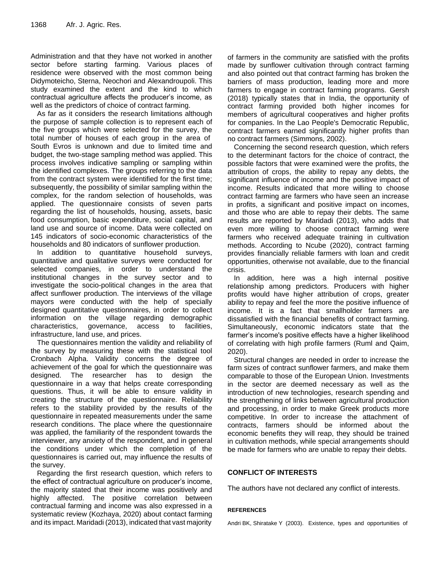Administration and that they have not worked in another sector before starting farming. Various places of residence were observed with the most common being Didymoteicho, Sterna, Neochori and Alexandroupoli. This study examined the extent and the kind to which contractual agriculture affects the producer"s income, as well as the predictors of choice of contract farming.

As far as it considers the research limitations although the purpose of sample collection is to represent each of the five groups which were selected for the survey, the total number of houses of each group in the area of South Evros is unknown and due to limited time and budget, the two-stage sampling method was applied. This process involves indicative sampling or sampling within the identified complexes. The groups referring to the data from the contract system were identified for the first time; subsequently, the possibility of similar sampling within the complex, for the random selection of households, was applied. The questionnaire consists of seven parts regarding the list of households, housing, assets, basic food consumption, basic expenditure, social capital, and land use and source of income. Data were collected on 145 indicators of socio-economic characteristics of the households and 80 indicators of sunflower production.

In addition to quantitative household surveys, quantitative and qualitative surveys were conducted for selected companies, in order to understand the institutional changes in the survey sector and to investigate the socio-political changes in the area that affect sunflower production. The interviews of the village mayors were conducted with the help of specially designed quantitative questionnaires, in order to collect information on the village regarding demographic characteristics, governance, access to facilities, infrastructure, land use, and prices.

The questionnaires mention the validity and reliability of the survey by measuring these with the statistical tool Cronbach Alpha. Validity concerns the degree of achievement of the goal for which the questionnaire was designed. The researcher has to design the questionnaire in a way that helps create corresponding questions. Thus, it will be able to ensure validity in creating the structure of the questionnaire. Reliability refers to the stability provided by the results of the questionnaire in repeated measurements under the same research conditions. The place where the questionnaire was applied, the familiarity of the respondent towards the interviewer, any anxiety of the respondent, and in general the conditions under which the completion of the questionnaires is carried out, may influence the results of the survey.

Regarding the first research question, which refers to the effect of contractual agriculture on producer"s income, the majority stated that their income was positively and highly affected. The positive correlation between contractual farming and income was also expressed in a systematic review (Kozhaya, 2020) about contact farming and its impact. Maridadi (2013), indicated that vast majority of farmers in the community are satisfied with the profits made by sunflower cultivation through contract farming and also pointed out that contract farming has broken the barriers of mass production, leading more and more farmers to engage in contract farming programs. Gersh (2018) typically states that in India, the opportunity of contract farming provided both higher incomes for members of agricultural cooperatives and higher profits for companies. In the Lao People's Democratic Republic, contract farmers earned significantly higher profits than no contract farmers (Simmons, 2002).

Concerning the second research question, which refers to the determinant factors for the choice of contract, the possible factors that were examined were the profits, the attribution of crops, the ability to repay any debts, the significant influence of income and the positive impact of income. Results indicated that more willing to choose contract farming are farmers who have seen an increase in profits, a significant and positive impact on incomes, and those who are able to repay their debts. The same results are reported by Maridadi (2013), who adds that even more willing to choose contract farming were farmers who received adequate training in cultivation methods. According to Ncube (2020), contract farming provides financially reliable farmers with loan and credit opportunities, otherwise not available, due to the financial crisis.

In addition, here was a high internal positive relationship among predictors. Producers with higher profits would have higher attribution of crops, greater ability to repay and feel the more the positive influence of income. It is a fact that smallholder farmers are dissatisfied with the financial benefits of contract farming. Simultaneously, economic indicators state that the farmer"s income's positive effects have a higher likelihood of correlating with high profile farmers (Ruml and Qaim, 2020).

Structural changes are needed in order to increase the farm sizes of contract sunflower farmers, and make them comparable to those of the European Union. Investments in the sector are deemed necessary as well as the introduction of new technologies, research spending and the strengthening of links between agricultural production and processing, in order to make Greek products more competitive. In order to increase the attachment of contracts, farmers should be informed about the economic benefits they will reap, they should be trained in cultivation methods, while special arrangements should be made for farmers who are unable to repay their debts.

## **CONFLICT OF INTERESTS**

The authors have not declared any conflict of interests.

## **REFERENCES**

Andri BK, Shiratake Y (2003). Existence, types and opportunities of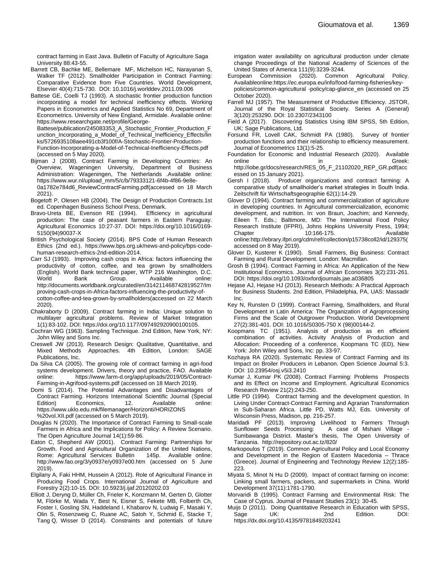contract farming in East Java. Bulletin of Faculty of Agriculture Saga University 88:43-55.

- Barrett CB, Bachke ME, Bellemare MF, Michelson HC, Narayanan S, Walker TF (2012). Smallholder Participation in Contract Farming: Comparative Evidence from Five Countries. World Development, Elsevier 40(4):715-730. DOI: 10.1016/j.worlddev.2011.09.006
- Battese GE, Coelli TJ (1993). A stochastic frontier production function incorporating a model for technical inefficiency effects. Working Papers in Econometrics and Applied Statistics No 69, Department of Econometrics. University of New England, Armidale. Available online: https://www.researchgate.net/profile/George-

Battese/publication/245083353\_A\_Stochastic\_Frontier\_Production\_F unction\_Incorporating\_a\_Model\_of\_Technical\_Inefficiency\_Effects/lin ks/5726935108aee491cb3f100f/A-Stochastic-Frontier-Production-Function-Incorporating-a-Model-of-Technical-Inefficiency-Effects.pdf (accessed on 5 May 2020).

Bijman J (2008). Contract Farming in Developing Countries: An Overview, Wageningen University, Department of Business Administration: Wageningen, The Netherlands .Available online: https://www.wur.nl/upload\_mm/5/c/b/79333121-6f4b-4f86-9e8e-0a1782e784d6\_ReviewContractFarming.pdf(accessed on 18 March

2021). Bogetoft P, Olesen HB (2004). The Design of Production Contracts.1st

ed. Copenhagen Business School Press, Denmark. Bravo-Ureta BE, Evenson RE (1994). Efficiency in agricultural production: The case of peasant farmers in Eastern Paraguay. Agricultural Economics 10:27-37. DOI: https://doi.org/10.1016/0169- 5150(94)90037-X

British Psychological Society (2014). BPS Code of Human Research Ethics (2nd ed.). https://www.bps.org.uk/news-and-policy/bps-codehuman-research-ethics-2nd-edition-2014.

- Carr SJ (1993). Improving cash crops in Africa: factors influencing the productivity of cotton, coffee, and tea grown by smallholders (English). World Bank technical paper, WTP 216 Washington, D.C. World Bank Group. Available online: http://documents.worldbank.org/curated/en/314211468742819527/Im proving-cash-crops-in-Africa-factors-influencing-the-productivity-ofcotton-coffee-and-tea-grown-by-smallholders(accessed on 22 March 2020).
- Chakraborty D (2009). Contract farming in India: Unique solution to multilayer agricultural problems. Review of Market Integration 1(1):83-102. DOI: https://doi.org/10.1177/097492920900100105.

Cochran WG (1963). Sampling Technique. 2nd Edition, New York, NY: John Wiley and Sons Inc.

- Creswell JW (2013). Research Design: Qualitative, Quantitative, and Mixed Methods Approaches. 4th Edition, London: SAGE Publications, Inc.
- Da Silva CA (2005). The growing role of contract farming in agri-food systems development. Drivers, theory and practice, FAO. Available online: https://www.farm-d.org/app/uploads/2019/05/Contract-Farming-in-Agrifood-systems.pdf (accessed on 18 March 2019).
- Domi S (2014). The Potential Advantages and Disadvantages of Contract Farming. Horizons International Scientific Journal (Special Edition) Economics, 12. Available online: https://www.uklo.edu.mk/filemanager/Horizonti/HORIZONS %20vol.XII.pdf (accessed on 5 March 2019).
- Douglas N (2020). The Importance of Contract Farming to Small-scale Farmers in Africa and the Implications for Policy: A Review Scenario. The Open Agriculture Journal 14(1):59-86.
- Eaton C, Shepherd AW (2001). Contract Farming: Partnerships for Growth. Food and Agricultural Organization of the United Nations, Rome: Agricultural Services Bulletin 145p. Available online: http://www.fao.org/3/y0937e/y0937e00.htm (accessed on 5 June 2019).
- Elgilany A, Faki HHM, Hussein A (2012). Role of Agricultural Finance in Producing Food Crops. International Journal of Agriculture and Forestry 2(2):10-15. DOI: 10.5923/j.ijaf.20120202.03
- Elliott J, Deryng D, Müller Ch, Frieler K, Konzmann M, Gerten D, Glotter M, Flörke M, Wada Y, Best N, Eisner S, Fekete MB, Folberth Ch, Foster I, Gosling SN, Haddeland I, Khabarov N, Ludwig F, Masaki Y, Olin S, Rosenzweig C, Ruane AC, Satoh Y, Schmid E, Stacke T, Tang Q, Wisser D (2014). Constraints and potentials of future

irrigation water availability on agricultural production under climate change Proceedings of the National Academy of Sciences of the United States of America 111(9):3239-3244.

- European Commission (2020). Common Agricultural Policy. Availableonline:https://ec.europa.eu/info/food-farming-fisheries/keypolicies/common-agricultural -policy/cap-glance\_en (accessed on 25 October 2020).
- Farrell MJ (1957). The Measurement of Productive Efficiency. JSTOR, Journal of the Royal Statistical Society. Series A (General) 3(120):253290. DOI: 10.2307/2343100
- Field A (2017). Discovering Statistics Using IBM SPSS, 5th Edition, UK: Sage Publications, Ltd.
- Forsund FR, Lovell CAK, Schmidt PA (1980). Survey of frontier production functions and their relationship to efficiency measurement. Journal of Econometrics 13(1):5-25.
- Foundation for Economic and Industrial Research (2020). Available online in Greek: http://iobe.gr/docs/research/RES\_05\_F\_21102020\_REP\_GR.pdf(acc essed on 15 January 2021).
- Gersh I (2018). Producer organizations and contract farming: A comparative study of smallholder"s market strategies in South India. Zeitschrift für Wirtschaftsgeographie 62(1):14-29.
- Glover D (1994). Contract farming and commercialization of agriculture in developing countries. In Agricultural commercialization, economic development, and nutrition. In: von Braun, Joachim; and Kennedy, Eileen T. Eds.; Baltimore, MD: The International Food Policy Research Institute (IFPRI), Johns Hopkins University Press, 1994; Chapter 10:166-175. Available online:http://ebrary.ifpri.org/cdm/ref/collection/p15738coll2/id/129375( accessed on 8 May 2019).
- Glover D, Kusterer K (1990). Small Farmers, Big Business: Contract Farming and Rural Development. London: Macmillan.
- Grosh B (1994). Contract Farming in Africa: An Application of the New Institutional Economics. Journal of African Economies 3(2):231-261. DOI: https://doi.org/10.1093/oxfordjournals.jae.a036805

Hejase AJ, Hejase HJ (2013). Research Methods: A Practical Approach for Business Students. 2nd Edition, Philadelphia, PA, UAS: Massadir Inc.

- Key N, Runsten D (1999). Contract Farming, Smallholders, and Rural Development in Latin America: The Organization of Agroprocessing Firms and the Scale of Outgrower Production. World Development 27(2):381-401. DOI: 10.1016/S0305-750 X (98)00144-2.
- Koopmans TC (1951). Analysis of production as en efficient combination of activities. Activity Analysis of Production and Allocation: Proceeding of a conference, Koopmans TC (ED), New York: John Wiley and Sons, Inc: pp. 33-97.
- Kozhaya RA (2020). Systematic Review of Contract Farming and its Impact on Broiler Producers in Lebanon. Open Science Journal 5:3. DOI: 10.23954/osj.v5i3.2410
- Kumar J, Kumar PK (2008). Contract Farming: Problems Prospects and its Effect on Income and Employment. Agricultural Economics Research Review 21(2):243-250.
- Little PD (1994). Contract farming and the development question. In Living Under Contract-Contract Farming and Agrarian Transformation in Sub-Saharan Africa. Little PD, Watts MJ, Eds. University of Wisconsin Press, Madison, pp. 216-257.
- Maridadi PF (2013). Improving Livelihood to Farmers Through Sunflower Seeds Processing: Sumbawanga District. Master"s thesis, The Open University of Tanzania. http://repository.out.ac.tz/820/
- Markopoulos T (2019). Common Agricultural Policy and Local Economy and Development in the Region of Eastern Macedonia – Thrace (Greece). Journal of Engineering and Technology Review 12(2):185- 223.
- Miyata S, Minot N Hu D (2009). Impact of contract farming on income: Linking small farmers, packers, and supermarkets in China. World Development 37(11):1781-1790.
- Morvaridi B (1995). Contract Farming and Environmental Risk: The Case of Cyprus. Journal of Peasant Studies 23(1): 30-45.
- Muijs D (2011). Doing Quantitative Research in Education with SPSS, Sage UK: 2nd Edition. DOI: https://dx.doi.org/10.4135/9781849203241